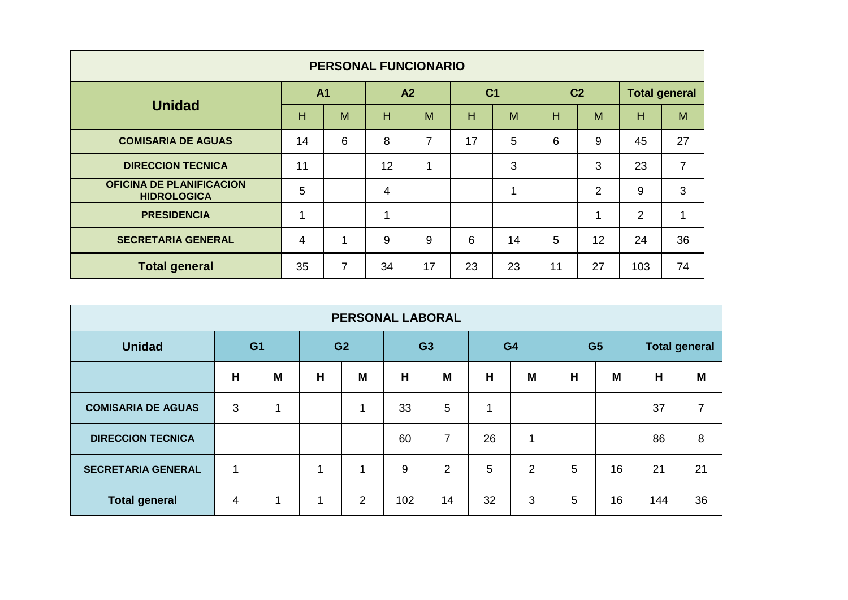| <b>PERSONAL FUNCIONARIO</b>                           |                |                |                |             |                |    |                |                |                      |    |
|-------------------------------------------------------|----------------|----------------|----------------|-------------|----------------|----|----------------|----------------|----------------------|----|
| <b>Unidad</b>                                         | A <sub>1</sub> |                | A <sub>2</sub> |             | C <sub>1</sub> |    | C <sub>2</sub> |                | <b>Total general</b> |    |
|                                                       | H              | M              | H              | M           | H              | M  | н              | M              | H                    | M  |
| <b>COMISARIA DE AGUAS</b>                             | 14             | 6              | 8              | 7           | 17             | 5  | 6              | 9              | 45                   | 27 |
| <b>DIRECCION TECNICA</b>                              | 11             |                | 12             | $\mathbf 1$ |                | 3  |                | 3              | 23                   | 7  |
| <b>OFICINA DE PLANIFICACION</b><br><b>HIDROLOGICA</b> | 5              |                | 4              |             |                | 1  |                | $\overline{2}$ | 9                    | 3  |
| <b>PRESIDENCIA</b>                                    | ۸              |                | 4              |             |                |    |                |                | $\overline{2}$       |    |
| <b>SECRETARIA GENERAL</b>                             | $\overline{4}$ | 1              | 9              | 9           | 6              | 14 | 5              | 12             | 24                   | 36 |
| <b>Total general</b>                                  | 35             | $\overline{7}$ | 34             | 17          | 23             | 23 | 11             | 27             | 103                  | 74 |

| <b>PERSONAL LABORAL</b>   |                |   |                |                |                |                |                |                |                |    |                      |                |
|---------------------------|----------------|---|----------------|----------------|----------------|----------------|----------------|----------------|----------------|----|----------------------|----------------|
| <b>Unidad</b>             | G <sub>1</sub> |   | G <sub>2</sub> |                | G <sub>3</sub> |                | G <sub>4</sub> |                | G <sub>5</sub> |    | <b>Total general</b> |                |
|                           | H              | M | H              | M              | H              | M              | H              | M              | H              | M  | H                    | M              |
| <b>COMISARIA DE AGUAS</b> | 3              | 4 |                | 1              | 33             | 5              | 1              |                |                |    | 37                   | $\overline{7}$ |
| <b>DIRECCION TECNICA</b>  |                |   |                |                | 60             | $\overline{7}$ | 26             | 4              |                |    | 86                   | 8              |
| <b>SECRETARIA GENERAL</b> | 1              |   | 1              | $\mathbf 1$    | 9              | 2              | 5              | $\overline{2}$ | 5              | 16 | 21                   | 21             |
| <b>Total general</b>      | 4              | 1 | 1              | $\overline{2}$ | 102            | 14             | 32             | 3              | 5              | 16 | 144                  | 36             |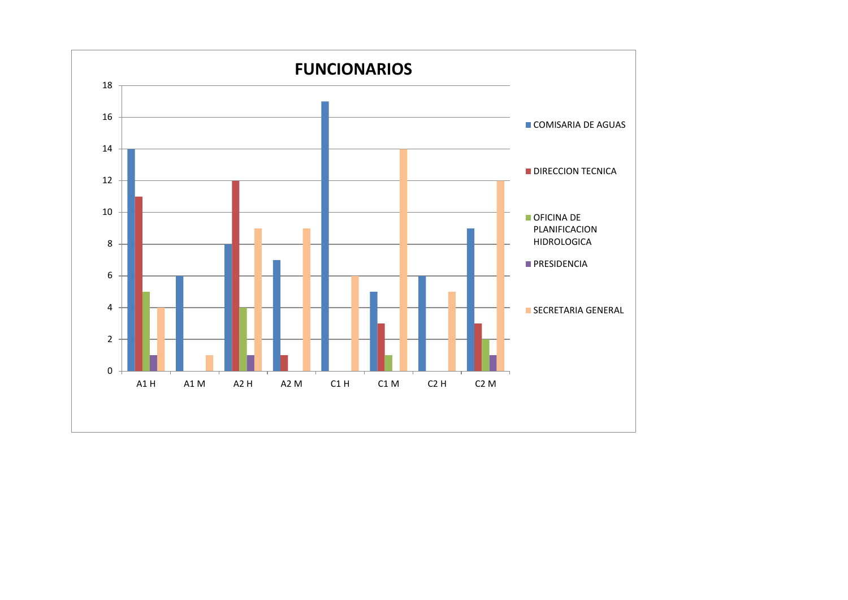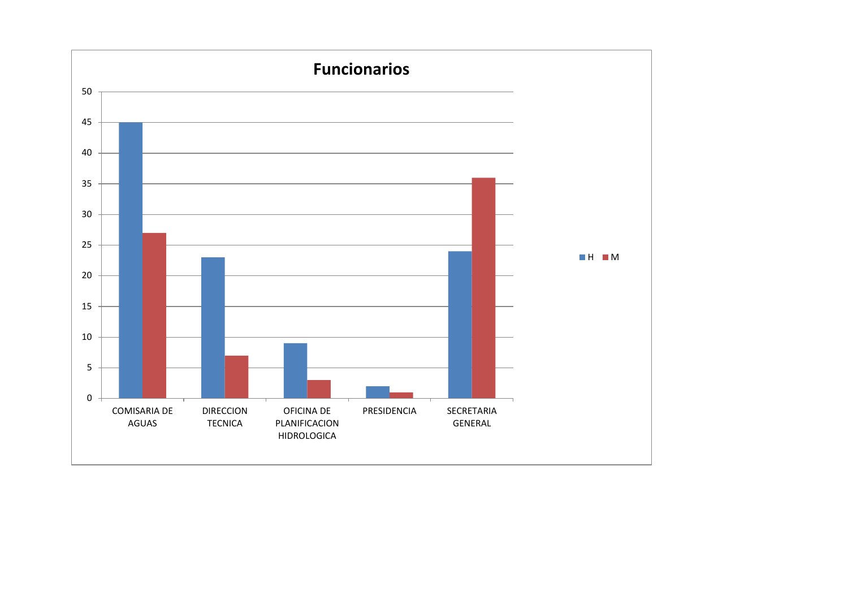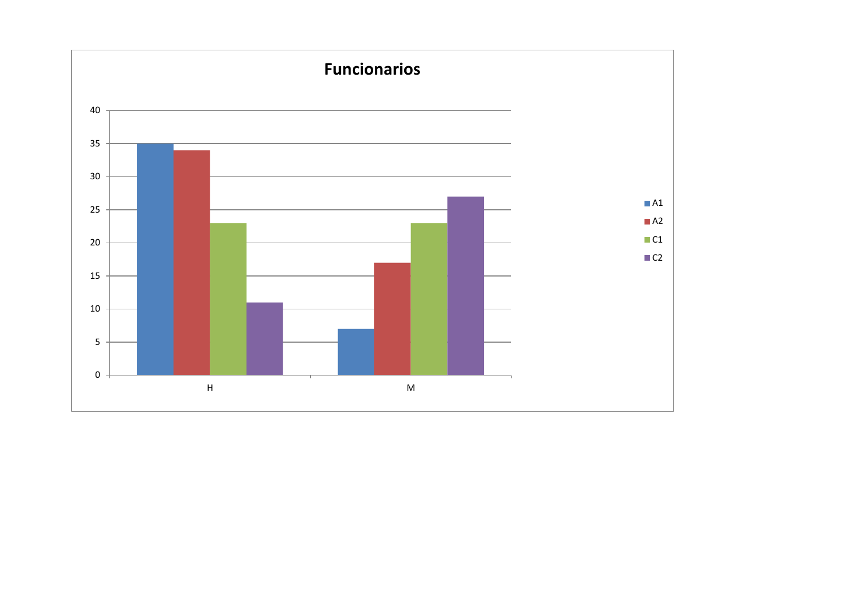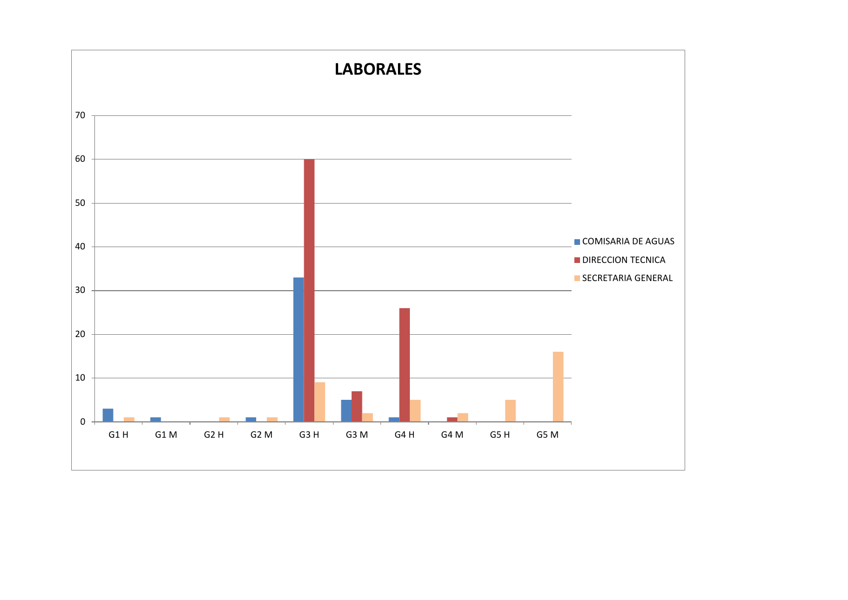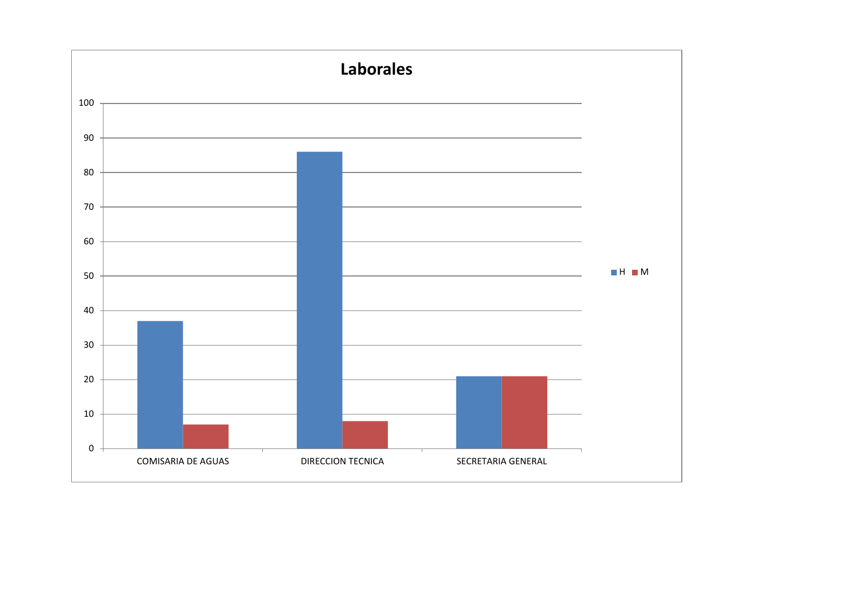